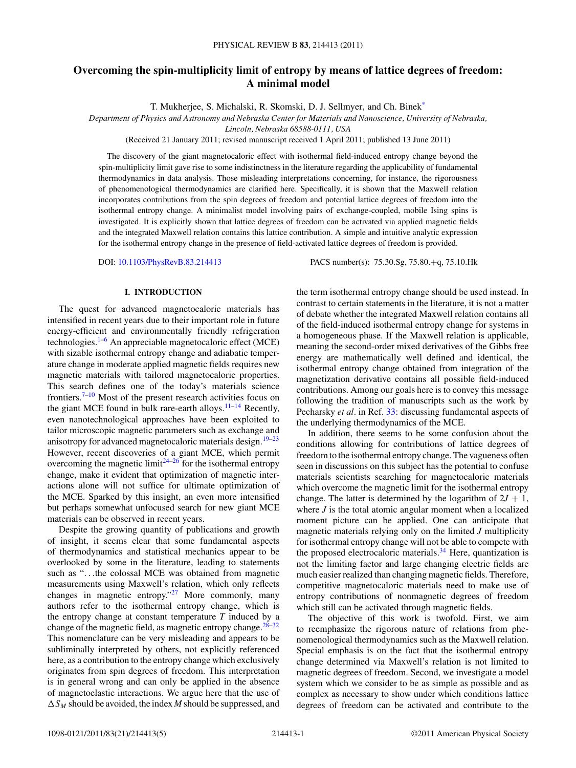# **Overcoming the spin-multiplicity limit of entropy by means of lattice degrees of freedom: A minimal model**

T. Mukherjee, S. Michalski, R. Skomski, D. J. Sellmyer, and Ch. Binek[\\*](#page-3-0)

*Department of Physics and Astronomy and Nebraska Center for Materials and Nanoscience, University of Nebraska,*

*Lincoln, Nebraska 68588-0111, USA*

(Received 21 January 2011; revised manuscript received 1 April 2011; published 13 June 2011)

The discovery of the giant magnetocaloric effect with isothermal field-induced entropy change beyond the spin-multiplicity limit gave rise to some indistinctness in the literature regarding the applicability of fundamental thermodynamics in data analysis. Those misleading interpretations concerning, for instance, the rigorousness of phenomenological thermodynamics are clarified here. Specifically, it is shown that the Maxwell relation incorporates contributions from the spin degrees of freedom and potential lattice degrees of freedom into the isothermal entropy change. A minimalist model involving pairs of exchange-coupled, mobile Ising spins is investigated. It is explicitly shown that lattice degrees of freedom can be activated via applied magnetic fields and the integrated Maxwell relation contains this lattice contribution. A simple and intuitive analytic expression for the isothermal entropy change in the presence of field-activated lattice degrees of freedom is provided.

DOI: [10.1103/PhysRevB.83.214413](http://dx.doi.org/10.1103/PhysRevB.83.214413) PACS number(s): 75*.*30*.*Sg, 75*.*80*.*+q, 75*.*10*.*Hk

#### **I. INTRODUCTION**

The quest for advanced magnetocaloric materials has intensified in recent years due to their important role in future energy-efficient and environmentally friendly refrigeration technologies.[1–6](#page-3-0) An appreciable magnetocaloric effect (MCE) with sizable isothermal entropy change and adiabatic temperature change in moderate applied magnetic fields requires new magnetic materials with tailored magnetocaloric properties. This search defines one of the today's materials science frontiers.<sup>7[–10](#page-4-0)</sup> Most of the present research activities focus on the giant MCE found in bulk rare-earth alloys.<sup>11-14</sup> Recently, even nanotechnological approaches have been exploited to tailor microscopic magnetic parameters such as exchange and anisotropy for advanced magnetocaloric materials design.<sup>[19–23](#page-4-0)</sup> However, recent discoveries of a giant MCE, which permit overcoming the magnetic limit<sup> $24-26$ </sup> for the isothermal entropy change, make it evident that optimization of magnetic interactions alone will not suffice for ultimate optimization of the MCE. Sparked by this insight, an even more intensified but perhaps somewhat unfocused search for new giant MCE materials can be observed in recent years.

Despite the growing quantity of publications and growth of insight, it seems clear that some fundamental aspects of thermodynamics and statistical mechanics appear to be overlooked by some in the literature, leading to statements such as "*...*the colossal MCE was obtained from magnetic measurements using Maxwell's relation, which only reflects changes in magnetic entropy.["27](#page-4-0) More commonly, many authors refer to the isothermal entropy change, which is the entropy change at constant temperature *T* induced by a change of the magnetic field, as magnetic entropy change. $28-32$ This nomenclature can be very misleading and appears to be subliminally interpreted by others, not explicitly referenced here, as a contribution to the entropy change which exclusively originates from spin degrees of freedom. This interpretation is in general wrong and can only be applied in the absence of magnetoelastic interactions. We argue here that the use of  $\Delta S_M$  should be avoided, the index *M* should be suppressed, and

the term isothermal entropy change should be used instead. In contrast to certain statements in the literature, it is not a matter of debate whether the integrated Maxwell relation contains all of the field-induced isothermal entropy change for systems in a homogeneous phase. If the Maxwell relation is applicable, meaning the second-order mixed derivatives of the Gibbs free energy are mathematically well defined and identical, the isothermal entropy change obtained from integration of the magnetization derivative contains all possible field-induced contributions. Among our goals here is to convey this message following the tradition of manuscripts such as the work by Pecharsky *et al*. in Ref. [33:](#page-4-0) discussing fundamental aspects of the underlying thermodynamics of the MCE.

In addition, there seems to be some confusion about the conditions allowing for contributions of lattice degrees of freedom to the isothermal entropy change. The vagueness often seen in discussions on this subject has the potential to confuse materials scientists searching for magnetocaloric materials which overcome the magnetic limit for the isothermal entropy change. The latter is determined by the logarithm of  $2J + 1$ , where *J* is the total atomic angular moment when a localized moment picture can be applied. One can anticipate that magnetic materials relying only on the limited *J* multiplicity for isothermal entropy change will not be able to compete with the proposed electrocaloric materials. $34$  Here, quantization is not the limiting factor and large changing electric fields are much easier realized than changing magnetic fields. Therefore, competitive magnetocaloric materials need to make use of entropy contributions of nonmagnetic degrees of freedom which still can be activated through magnetic fields.

The objective of this work is twofold. First, we aim to reemphasize the rigorous nature of relations from phenomenological thermodynamics such as the Maxwell relation. Special emphasis is on the fact that the isothermal entropy change determined via Maxwell's relation is not limited to magnetic degrees of freedom. Second, we investigate a model system which we consider to be as simple as possible and as complex as necessary to show under which conditions lattice degrees of freedom can be activated and contribute to the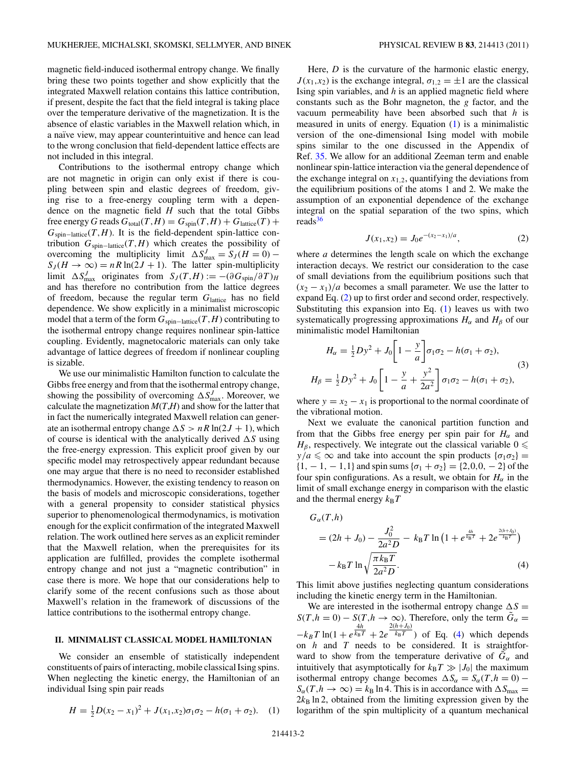<span id="page-1-0"></span>magnetic field-induced isothermal entropy change. We finally bring these two points together and show explicitly that the integrated Maxwell relation contains this lattice contribution, if present, despite the fact that the field integral is taking place over the temperature derivative of the magnetization. It is the absence of elastic variables in the Maxwell relation which, in a naïve view, may appear counterintuitive and hence can lead to the wrong conclusion that field-dependent lattice effects are not included in this integral.

Contributions to the isothermal entropy change which are not magnetic in origin can only exist if there is coupling between spin and elastic degrees of freedom, giving rise to a free-energy coupling term with a dependence on the magnetic field *H* such that the total Gibbs free energy *G* reads  $G_{total}(T,H) = G_{spin}(T,H) + G_{lattice}(T) +$  $G_{spin-lattice}(T,H)$ . It is the field-dependent spin-lattice contribution  $G_{spin-<sub>lattice</sub>}(T,H)$  which creates the possibility of overcoming the multiplicity limit  $\Delta S_{\text{max}}^J = S_J (H = 0)$  –  $S_J(H \to \infty) = nR \ln(2J + 1)$ . The latter spin-multiplicity limit  $\Delta S_{\text{max}}^J$  originates from  $S_J(T,H) := -(\partial G_{\text{spin}}/\partial T)_H$ and has therefore no contribution from the lattice degrees of freedom, because the regular term G<sub>lattice</sub> has no field dependence. We show explicitly in a minimalist microscopic model that a term of the form *G*spin<sup>−</sup>lattice(*T,H*) contributing to the isothermal entropy change requires nonlinear spin-lattice coupling. Evidently, magnetocaloric materials can only take advantage of lattice degrees of freedom if nonlinear coupling is sizable.

We use our minimalistic Hamilton function to calculate the Gibbs free energy and from that the isothermal entropy change, showing the possibility of overcoming  $\Delta S^J_{\text{max}}$ . Moreover, we calculate the magnetization  $M(T,H)$  and show for the latter that in fact the numerically integrated Maxwell relation can generate an isothermal entropy change  $\Delta S > nR \ln(2J + 1)$ , which of course is identical with the analytically derived  $\Delta S$  using the free-energy expression. This explicit proof given by our specific model may retrospectively appear redundant because one may argue that there is no need to reconsider established thermodynamics. However, the existing tendency to reason on the basis of models and microscopic considerations, together with a general propensity to consider statistical physics superior to phenomenological thermodynamics, is motivation enough for the explicit confirmation of the integrated Maxwell relation. The work outlined here serves as an explicit reminder that the Maxwell relation, when the prerequisites for its application are fulfilled, provides the complete isothermal entropy change and not just a "magnetic contribution" in case there is more. We hope that our considerations help to clarify some of the recent confusions such as those about Maxwell's relation in the framework of discussions of the lattice contributions to the isothermal entropy change.

#### **II. MINIMALIST CLASSICAL MODEL HAMILTONIAN**

We consider an ensemble of statistically independent constituents of pairs of interacting, mobile classical Ising spins. When neglecting the kinetic energy, the Hamiltonian of an individual Ising spin pair reads

$$
H = \frac{1}{2}D(x_2 - x_1)^2 + J(x_1, x_2)\sigma_1\sigma_2 - h(\sigma_1 + \sigma_2).
$$
 (1)

Here, *D* is the curvature of the harmonic elastic energy,  $J(x_1, x_2)$  is the exchange integral,  $\sigma_{1,2} = \pm 1$  are the classical Ising spin variables, and *h* is an applied magnetic field where constants such as the Bohr magneton, the *g* factor, and the vacuum permeability have been absorbed such that *h* is measured in units of energy. Equation (1) is a minimalistic version of the one-dimensional Ising model with mobile spins similar to the one discussed in the Appendix of Ref. [35.](#page-4-0) We allow for an additional Zeeman term and enable nonlinear spin-lattice interaction via the general dependence of the exchange integral on  $x_{1,2}$ , quantifying the deviations from the equilibrium positions of the atoms 1 and 2. We make the assumption of an exponential dependence of the exchange integral on the spatial separation of the two spins, which reads<sup>[36](#page-4-0)</sup>

$$
J(x_1, x_2) = J_0 e^{-(x_2 - x_1)/a}, \tag{2}
$$

where *a* determines the length scale on which the exchange interaction decays. We restrict our consideration to the case of small deviations from the equilibrium positions such that  $(x_2 - x_1)/a$  becomes a small parameter. We use the latter to expand Eq. (2) up to first order and second order, respectively. Substituting this expansion into Eq. (1) leaves us with two systematically progressing approximations  $H_{\alpha}$  and  $H_{\beta}$  of our minimalistic model Hamiltonian

$$
H_{\alpha} = \frac{1}{2}Dy^2 + J_0 \left[1 - \frac{y}{a}\right] \sigma_1 \sigma_2 - h(\sigma_1 + \sigma_2),
$$
  
\n
$$
H_{\beta} = \frac{1}{2}Dy^2 + J_0 \left[1 - \frac{y}{a} + \frac{y^2}{2a^2}\right] \sigma_1 \sigma_2 - h(\sigma_1 + \sigma_2),
$$
\n(3)

where  $y = x_2 - x_1$  is proportional to the normal coordinate of the vibrational motion.

Next we evaluate the canonical partition function and from that the Gibbs free energy per spin pair for  $H_{\alpha}$  and  $H_\beta$ , respectively. We integrate out the classical variable  $0 \leq \alpha$  $y/a \leq \infty$  and take into account the spin products  $\{\sigma_1 \sigma_2\}$  = {1*,* − 1*,* − 1*,*1} and spin sums{*σ*<sup>1</sup> + *σ*2}={2*,*0*,*0*,* − 2} of the four spin configurations. As a result, we obtain for  $H_\alpha$  in the limit of small exchange energy in comparison with the elastic and the thermal energy  $k_B T$ 

$$
G_{\alpha}(T, h)
$$
  
=  $(2h + J_0) - \frac{J_0^2}{2a^2D} - k_B T \ln \left(1 + e^{\frac{4h}{k_B T}} + 2e^{\frac{2(h + J_0)}{k_B T}}\right)$   
 $- k_B T \ln \sqrt{\frac{\pi k_B T}{2a^2 D}}.$  (4)

This limit above justifies neglecting quantum considerations including the kinetic energy term in the Hamiltonian.

We are interested in the isothermal entropy change  $\Delta S =$  $S(T, h = 0) - S(T, h \rightarrow \infty)$ . Therefore, only the term  $\tilde{G}_{\alpha} =$  $-k_B T \ln(1 + e^{\frac{4h}{k_B T}} + 2e^{\frac{2(h+J_0)}{k_B T}})$  $k_B T$  ) of Eq. (4) which depends on *h* and *T* needs to be considered. It is straightforward to show from the temperature derivative of  $\tilde{G}_{\alpha}$  and intuitively that asymptotically for  $k_B T \gg |J_0|$  the maximum isothermal entropy change becomes  $\Delta S_{\alpha} = S_{\alpha}(T, h = 0)$  –  $S_{\alpha}(T, h \to \infty) = k_{\text{B}} \ln 4$ . This is in accordance with  $\Delta S_{\text{max}} =$  $2k_B$  ln 2, obtained from the limiting expression given by the logarithm of the spin multiplicity of a quantum mechanical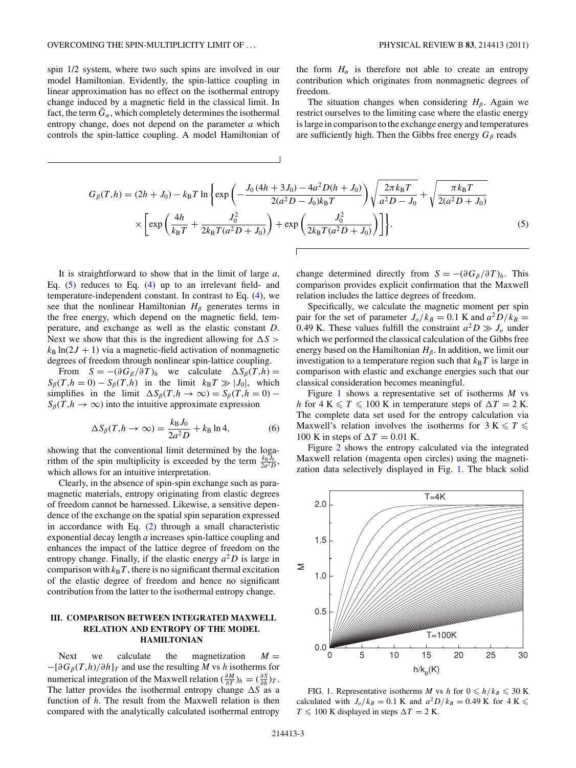<span id="page-2-0"></span>spin 1/2 system, where two such spins are involved in our model Hamiltonian. Evidently, the spin-lattice coupling in linear approximation has no effect on the isothermal entropy change induced by a magnetic field in the classical limit. In fact, the term  $\tilde{G}_{\alpha}$ , which completely determines the isothermal entropy change, does not depend on the parameter *a* which controls the spin-lattice coupling. A model Hamiltonian of the form  $H_{\alpha}$  is therefore not able to create an entropy contribution which originates from nonmagnetic degrees of freedom.

The situation changes when considering  $H_\beta$ . Again we restrict ourselves to the limiting case where the elastic energy is large in comparison to the exchange energy and temperatures are sufficiently high. Then the Gibbs free energy  $G_\beta$  reads

$$
G_{\beta}(T,h) = (2h + J_0) - k_{\text{B}}T \ln \left\{ \exp\left(-\frac{J_0(4h + 3J_0) - 4a^2 D(h + J_0)}{2(a^2 D - J_0)k_{\text{B}}T}\right) \sqrt{\frac{2\pi k_{\text{B}}T}{a^2 D - J_0}} + \sqrt{\frac{\pi k_{\text{B}}T}{2(a^2 D + J_0)}} \right\}
$$

$$
\times \left[ \exp\left(\frac{4h}{k_{\text{B}}T} + \frac{J_0^2}{2k_{\text{B}}T(a^2 D + J_0)}\right) + \exp\left(\frac{J_0^2}{2k_{\text{B}}T(a^2 D + J_0)}\right) \right].
$$
 (5)

It is straightforward to show that in the limit of large *a*, Eq.  $(5)$  reduces to Eq.  $(4)$  up to an irrelevant field- and temperature-independent constant. In contrast to Eq. [\(4\)](#page-1-0), we see that the nonlinear Hamiltonian  $H_\beta$  generates terms in the free energy, which depend on the magnetic field, temperature, and exchange as well as the elastic constant *D*. Next we show that this is the ingredient allowing for  $\Delta S$  $k_B$  ln(2*J* + 1) via a magnetic-field activation of nonmagnetic degrees of freedom through nonlinear spin-lattice coupling.

From  $S = -(\partial G_{\beta}/\partial T)_{h}$  we calculate  $\Delta S_{\beta}(T, h) =$  $S_\beta(T, h = 0) - S_\beta(T, h)$  in the limit  $k_B T \gg |J_0|$ , which simplifies in the limit  $\Delta S_\beta(T, h \to \infty) = S_\beta(T, h = 0)$  –  $S_\beta(T, h \to \infty)$  into the intuitive approximate expression

$$
\Delta S_{\beta}(T, h \to \infty) = \frac{k_{\rm B} J_0}{2a^2 D} + k_{\rm B} \ln 4,\tag{6}
$$

showing that the conventional limit determined by the logarithm of the spin multiplicity is exceeded by the term  $\frac{k_B J_0}{2a^2 D}$ , which allows for an intuitive interpretation.

Clearly, in the absence of spin-spin exchange such as paramagnetic materials, entropy originating from elastic degrees of freedom cannot be harnessed. Likewise, a sensitive dependence of the exchange on the spatial spin separation expressed in accordance with Eq. [\(2\)](#page-1-0) through a small characteristic exponential decay length *a* increases spin-lattice coupling and enhances the impact of the lattice degree of freedom on the entropy change. Finally, if the elastic energy  $a<sup>2</sup>D$  is large in comparison with  $k_B T$ , there is no significant thermal excitation of the elastic degree of freedom and hence no significant contribution from the latter to the isothermal entropy change.

## **III. COMPARISON BETWEEN INTEGRATED MAXWELL RELATION AND ENTROPY OF THE MODEL HAMILTONIAN**

Next we calculate the magnetization  $M =$ −[*∂Gβ* (*T,h*)*/∂h*]*<sup>T</sup>* and use the resulting *M* vs *h* isotherms for numerical integration of the Maxwell relation  $(\frac{\partial M}{\partial T})_h = (\frac{\partial S}{\partial h})_T$ . The latter provides the isothermal entropy change  $\Delta S$  as a function of *h*. The result from the Maxwell relation is then compared with the analytically calculated isothermal entropy

change determined directly from  $S = -(\partial G_{\beta}/\partial T)_{h}$ . This comparison provides explicit confirmation that the Maxwell relation includes the lattice degrees of freedom.

Specifically, we calculate the magnetic moment per spin pair for the set of parameter  $J_o/k_B = 0.1$  K and  $a^2D/k_B =$ 0.49 K. These values fulfill the constraint  $a^2D \gg J_0$  under which we performed the classical calculation of the Gibbs free energy based on the Hamiltonian  $H_\beta$ . In addition, we limit our investigation to a temperature region such that  $k_B T$  is large in comparison with elastic and exchange energies such that our classical consideration becomes meaningful.

Figure 1 shows a representative set of isotherms *M* vs *h* for  $4 K \le T \le 100 K$  in temperature steps of  $\Delta T = 2 K$ . The complete data set used for the entropy calculation via Maxwell's relation involves the isotherms for  $3 K \le T \le$ 100 K in steps of  $\Delta T = 0.01$  K.

Figure [2](#page-3-0) shows the entropy calculated via the integrated Maxwell relation (magenta open circles) using the magnetization data selectively displayed in Fig. 1. The black solid



FIG. 1. Representative isotherms *M* vs *h* for  $0 \le h/k_B \le 30$  K calculated with  $J_o/k_B = 0.1$  K and  $a^2D/k_B = 0.49$  K for 4 K  $\leq$  $T \le 100$  K displayed in steps  $\Delta T = 2$  K.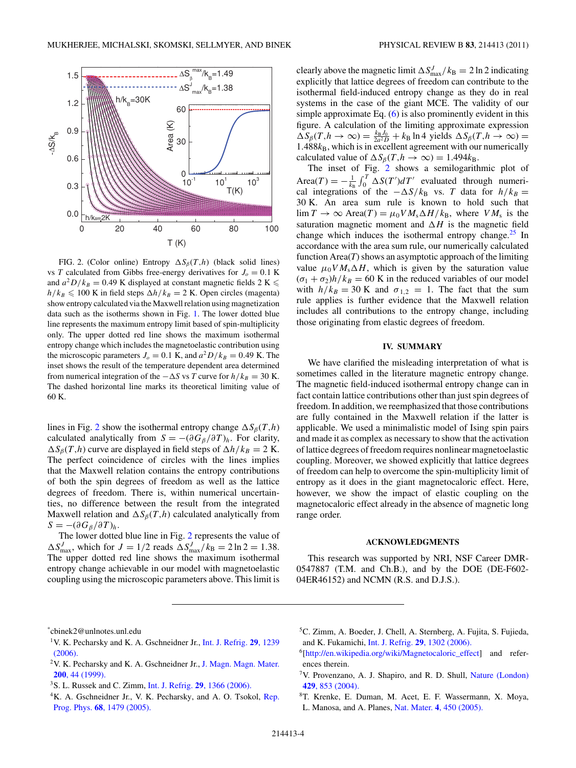<span id="page-3-0"></span>

FIG. 2. (Color online) Entropy  $\Delta S_{\beta}(T,h)$  (black solid lines) vs *T* calculated from Gibbs free-energy derivatives for  $J_0 = 0.1$  K and  $a^2D/k_B = 0.49$  K displayed at constant magnetic fields 2 K  $\leq$  $h/k_B \le 100$  K in field steps  $\Delta h/k_B = 2$  K. Open circles (magenta) show entropy calculated via the Maxwell relation using magnetization data such as the isotherms shown in Fig. [1.](#page-2-0) The lower dotted blue line represents the maximum entropy limit based of spin-multiplicity only. The upper dotted red line shows the maximum isothermal entropy change which includes the magnetoelastic contribution using the microscopic parameters  $J<sub>o</sub> = 0.1$  K, and  $a<sup>2</sup>D/k<sub>B</sub> = 0.49$  K. The inset shows the result of the temperature dependent area determined from numerical integration of the  $-\Delta S$  vs *T* curve for  $h/k_B = 30$  K. The dashed horizontal line marks its theoretical limiting value of 60 K.

lines in Fig. 2 show the isothermal entropy change  $\Delta S_\beta(T, h)$ calculated analytically from  $S = -(\partial G_{\beta}/\partial T)_{h}$ . For clarity,  $\Delta S_\beta(T, h)$  curve are displayed in field steps of  $\Delta h / k_B = 2$  K. The perfect coincidence of circles with the lines implies that the Maxwell relation contains the entropy contributions of both the spin degrees of freedom as well as the lattice degrees of freedom. There is, within numerical uncertainties, no difference between the result from the integrated Maxwell relation and  $\Delta S_{\beta}(T,h)$  calculated analytically from  $S = -(\partial G_{\beta}/\partial T)_{h}.$ 

The lower dotted blue line in Fig. 2 represents the value of  $\Delta S_{\text{max}}^J$ , which for  $J = 1/2$  reads  $\Delta S_{\text{max}}^J / k_B = 2 \ln 2 = 1.38$ . The upper dotted red line shows the maximum isothermal entropy change achievable in our model with magnetoelastic coupling using the microscopic parameters above. This limit is

clearly above the magnetic limit  $\Delta S_{\text{max}}^J / k_B = 2 \ln 2$  indicating explicitly that lattice degrees of freedom can contribute to the isothermal field-induced entropy change as they do in real systems in the case of the giant MCE. The validity of our simple approximate Eq. [\(6\)](#page-2-0) is also prominently evident in this figure. A calculation of the limiting approximate expression  $\Delta S_{\beta}(T, h \to \infty) = \frac{k_B J_0}{2a^2 D} + k_B \ln 4$  yields  $\Delta S_{\beta}(T, h \to \infty) =$  $1.488k<sub>B</sub>$ , which is in excellent agreement with our numerically calculated value of  $\Delta S_\beta(T, h \to \infty) = 1.494 k_B$ .

The inset of Fig. 2 shows a semilogarithmic plot of Area $(T) = -\frac{1}{k_B} \int_0^T \Delta S(T') dT'$  evaluated through numerical integrations of the  $-\Delta S/k_B$  vs. *T* data for  $h/k_B =$ 30 K. An area sum rule is known to hold such that  $\lim T \to \infty$  Area(*T*) =  $\mu_0 V M_s \Delta H / k_B$ , where *VM*<sub>s</sub> is the saturation magnetic moment and  $\Delta H$  is the magnetic field change which induces the isothermal entropy change.<sup>[25](#page-4-0)</sup> In accordance with the area sum rule, our numerically calculated function Area(*T*) shows an asymptotic approach of the limiting value  $\mu_0 V M_s \Delta H$ , which is given by the saturation value  $(\sigma_1 + \sigma_2)h/k_B = 60$  K in the reduced variables of our model with  $h/k_B = 30$  K and  $\sigma_{1,2} = 1$ . The fact that the sum rule applies is further evidence that the Maxwell relation includes all contributions to the entropy change, including those originating from elastic degrees of freedom.

### **IV. SUMMARY**

We have clarified the misleading interpretation of what is sometimes called in the literature magnetic entropy change. The magnetic field-induced isothermal entropy change can in fact contain lattice contributions other than just spin degrees of freedom. In addition, we reemphasized that those contributions are fully contained in the Maxwell relation if the latter is applicable. We used a minimalistic model of Ising spin pairs and made it as complex as necessary to show that the activation of lattice degrees of freedom requires nonlinear magnetoelastic coupling. Moreover, we showed explicitly that lattice degrees of freedom can help to overcome the spin-multiplicity limit of entropy as it does in the giant magnetocaloric effect. Here, however, we show the impact of elastic coupling on the magnetocaloric effect already in the absence of magnetic long range order.

#### **ACKNOWLEDGMENTS**

This research was supported by NRI, NSF Career DMR-0547887 (T.M. and Ch.B.), and by the DOE (DE-F602- 04ER46152) and NCMN (R.S. and D.J.S.).

\* cbinek2@unlnotes.unl.edu

- 1V. K. Pecharsky and K. A. Gschneidner Jr., [Int. J. Refrig.](http://dx.doi.org/10.1016/j.ijrefrig.2006.03.020) **29**, 1239 [\(2006\).](http://dx.doi.org/10.1016/j.ijrefrig.2006.03.020)
- 2V. K. Pecharsky and K. A. Gschneidner Jr., [J. Magn. Magn. Mater.](http://dx.doi.org/10.1016/S0304-8853(99)00397-2) **200**[, 44 \(1999\).](http://dx.doi.org/10.1016/S0304-8853(99)00397-2)
- 3S. L. Russek and C. Zimm, Int. J. Refrig. **29**[, 1366 \(2006\).](http://dx.doi.org/10.1016/j.ijrefrig.2006.07.019)
- <sup>4</sup>K. A. Gschneidner Jr., V. K. Pecharsky, and A. O. Tsokol, [Rep.](http://dx.doi.org/10.1088/0034-4885/68/6/R04) Prog. Phys. **68**[, 1479 \(2005\).](http://dx.doi.org/10.1088/0034-4885/68/6/R04)
- 5C. Zimm, A. Boeder, J. Chell, A. Sternberg, A. Fujita, S. Fujieda, and K. Fukamichi, Int. J. Refrig. **29**[, 1302 \(2006\).](http://dx.doi.org/10.1016/j.ijrefrig.2006.07.014)
- 6[\[http://en.wikipedia.org/wiki/Magnetocaloric\\_effect\]](http://en.wikipedia.org/wiki/Magnetocaloric_effect) and references therein.
- 7V. Provenzano, A. J. Shapiro, and R. D. Shull, [Nature \(London\)](http://dx.doi.org/10.1038/nature02657) **429**[, 853 \(2004\).](http://dx.doi.org/10.1038/nature02657)
- 8T. Krenke, E. Duman, M. Acet, E. F. Wassermann, X. Moya,
- L. Manosa, and A. Planes, Nat. Mater. **4**[, 450 \(2005\).](http://dx.doi.org/10.1038/nmat1395)